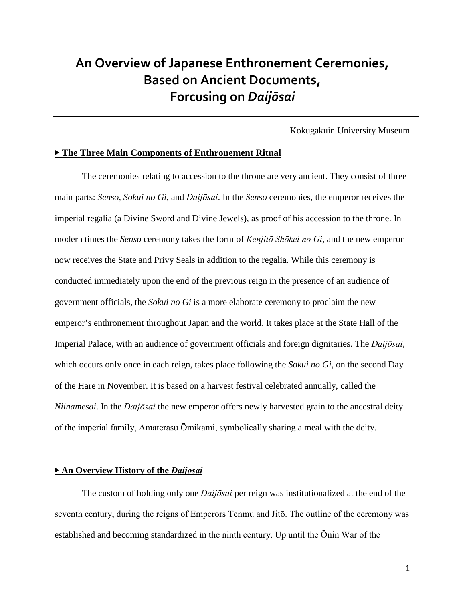# **An Overview of Japanese Enthronement Ceremonies, Based on Ancient Documents, Forcusing on** *Daijōsai*

Kokugakuin University Museum

#### ▶ **The Three Main Components of Enthronement Ritual**

The ceremonies relating to accession to the throne are very ancient. They consist of three main parts: *Senso*, *Sokui no Gi,* and *Daijōsai*. In the *Senso* ceremonies, the emperor receives the imperial regalia (a Divine Sword and Divine Jewels), as proof of his accession to the throne. In modern times the *Senso* ceremony takes the form of *Kenjitō Shōkei no Gi*, and the new emperor now receives the State and Privy Seals in addition to the regalia. While this ceremony is conducted immediately upon the end of the previous reign in the presence of an audience of government officials, the *Sokui no Gi* is a more elaborate ceremony to proclaim the new emperor's enthronement throughout Japan and the world. It takes place at the State Hall of the Imperial Palace, with an audience of government officials and foreign dignitaries. The *Daijōsai*, which occurs only once in each reign, takes place following the *Sokui no Gi*, on the second Day of the Hare in November. It is based on a harvest festival celebrated annually, called the *Niinamesai*. In the *Daijōsai* the new emperor offers newly harvested grain to the ancestral deity of the imperial family, Amaterasu Ōmikami, symbolically sharing a meal with the deity.

### ▶ **An Overview History of the** *Daijōsai*

The custom of holding only one *Daijōsai* per reign was institutionalized at the end of the seventh century, during the reigns of Emperors Tenmu and Jitō. The outline of the ceremony was established and becoming standardized in the ninth century. Up until the Ōnin War of the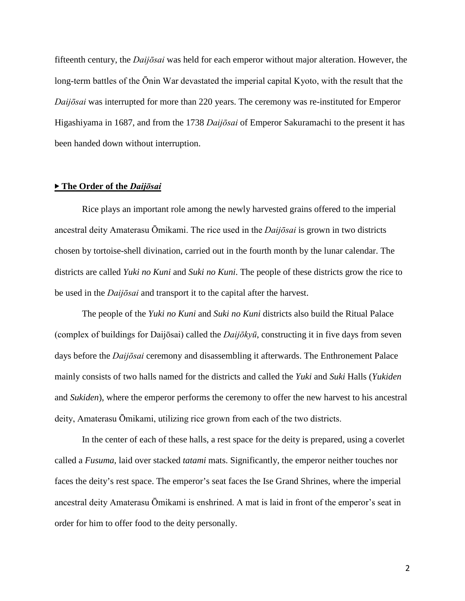fifteenth century, the *Daijōsai* was held for each emperor without major alteration. However, the long-term battles of the Ōnin War devastated the imperial capital Kyoto, with the result that the *Daijōsai* was interrupted for more than 220 years. The ceremony was re-instituted for Emperor Higashiyama in 1687, and from the 1738 *Daijōsai* of Emperor Sakuramachi to the present it has been handed down without interruption.

#### ▶ **The Order of the** *Daijōsai*

Rice plays an important role among the newly harvested grains offered to the imperial ancestral deity Amaterasu Ōmikami. The rice used in the *Daijōsai* is grown in two districts chosen by tortoise-shell divination, carried out in the fourth month by the lunar calendar. The districts are called *Yuki no Kuni* and *Suki no Kuni*. The people of these districts grow the rice to be used in the *Daijōsai* and transport it to the capital after the harvest.

The people of the *Yuki no Kuni* and *Suki no Kuni* districts also build the Ritual Palace (complex of buildings for Daijōsai) called the *Daijōkyū*, constructing it in five days from seven days before the *Daijōsai* ceremony and disassembling it afterwards. The Enthronement Palace mainly consists of two halls named for the districts and called the *Yuki* and *Suki* Halls (*Yukiden* and *Sukiden*), where the emperor performs the ceremony to offer the new harvest to his ancestral deity, Amaterasu Ōmikami, utilizing rice grown from each of the two districts.

In the center of each of these halls, a rest space for the deity is prepared, using a coverlet called a *Fusuma*, laid over stacked *tatami* mats. Significantly, the emperor neither touches nor faces the deity's rest space. The emperor's seat faces the Ise Grand Shrines, where the imperial ancestral deity Amaterasu Ōmikami is enshrined. A mat is laid in front of the emperor's seat in order for him to offer food to the deity personally.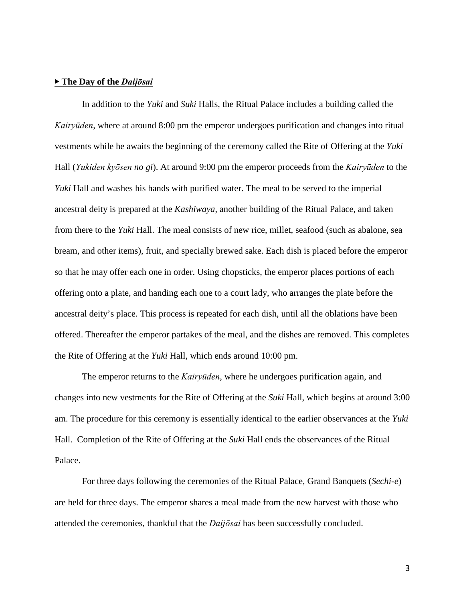#### ▶ **The Day of the** *Daijōsai*

In addition to the *Yuki* and *Suki* Halls, the Ritual Palace includes a building called the *Kairyūden*, where at around 8:00 pm the emperor undergoes purification and changes into ritual vestments while he awaits the beginning of the ceremony called the Rite of Offering at the *Yuki* Hall (*Yukiden kyōsen no gi*). At around 9:00 pm the emperor proceeds from the *Kairyūden* to the *Yuki* Hall and washes his hands with purified water. The meal to be served to the imperial ancestral deity is prepared at the *Kashiwaya*, another building of the Ritual Palace, and taken from there to the *Yuki* Hall. The meal consists of new rice, millet, seafood (such as abalone, sea bream, and other items), fruit, and specially brewed sake. Each dish is placed before the emperor so that he may offer each one in order. Using chopsticks, the emperor places portions of each offering onto a plate, and handing each one to a court lady, who arranges the plate before the ancestral deity's place. This process is repeated for each dish, until all the oblations have been offered. Thereafter the emperor partakes of the meal, and the dishes are removed. This completes the Rite of Offering at the *Yuki* Hall, which ends around 10:00 pm.

The emperor returns to the *Kairyūden*, where he undergoes purification again, and changes into new vestments for the Rite of Offering at the *Suki* Hall, which begins at around 3:00 am. The procedure for this ceremony is essentially identical to the earlier observances at the *Yuki* Hall. Completion of the Rite of Offering at the *Suki* Hall ends the observances of the Ritual Palace.

For three days following the ceremonies of the Ritual Palace, Grand Banquets (*Sechi-e*) are held for three days. The emperor shares a meal made from the new harvest with those who attended the ceremonies, thankful that the *Daijōsai* has been successfully concluded.